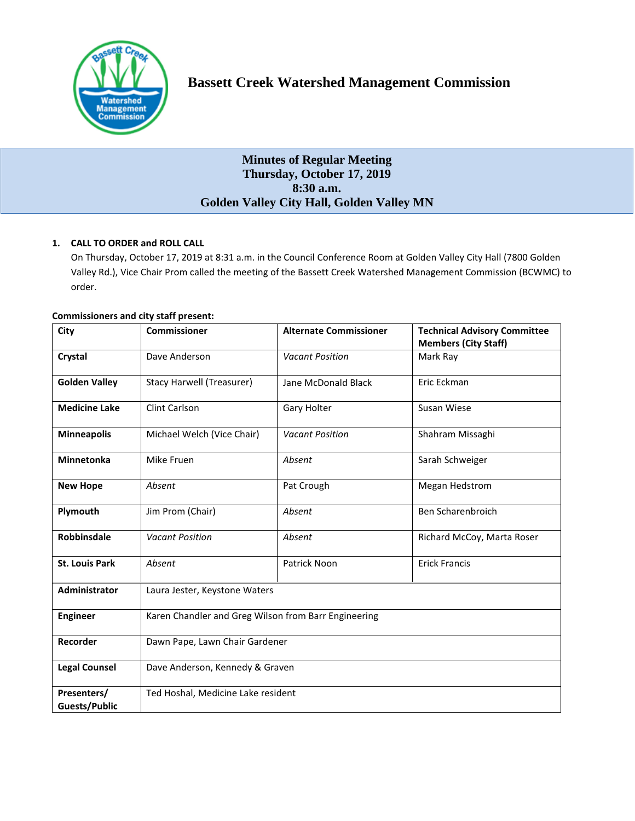

# **Minutes of Regular Meeting Thursday, October 17, 2019 8:30 a.m. Golden Valley City Hall, Golden Valley MN**

## **1. CALL TO ORDER and ROLL CALL**

On Thursday, October 17, 2019 at 8:31 a.m. in the Council Conference Room at Golden Valley City Hall (7800 Golden Valley Rd.), Vice Chair Prom called the meeting of the Bassett Creek Watershed Management Commission (BCWMC) to order.

| <b>Commissioners and city staff present:</b> |  |  |  |  |
|----------------------------------------------|--|--|--|--|
|----------------------------------------------|--|--|--|--|

| City                                | <b>Commissioner</b>                                  | <b>Alternate Commissioner</b> | <b>Technical Advisory Committee</b><br><b>Members (City Staff)</b> |  |  |
|-------------------------------------|------------------------------------------------------|-------------------------------|--------------------------------------------------------------------|--|--|
| Crystal                             | Dave Anderson                                        | <b>Vacant Position</b>        | Mark Ray                                                           |  |  |
| <b>Golden Valley</b>                | <b>Stacy Harwell (Treasurer)</b>                     | Jane McDonald Black           | Eric Eckman                                                        |  |  |
| <b>Medicine Lake</b>                | Clint Carlson                                        | Gary Holter                   | Susan Wiese                                                        |  |  |
| <b>Minneapolis</b>                  | Michael Welch (Vice Chair)                           | <b>Vacant Position</b>        | Shahram Missaghi                                                   |  |  |
| <b>Minnetonka</b>                   | Mike Fruen                                           | Absent                        | Sarah Schweiger                                                    |  |  |
| <b>New Hope</b>                     | Absent                                               | Pat Crough                    | Megan Hedstrom                                                     |  |  |
| Plymouth                            | Jim Prom (Chair)                                     | Absent                        | Ben Scharenbroich                                                  |  |  |
| <b>Robbinsdale</b>                  | <b>Vacant Position</b>                               | Absent                        | Richard McCoy, Marta Roser                                         |  |  |
| <b>St. Louis Park</b>               | Absent                                               | Patrick Noon                  | <b>Erick Francis</b>                                               |  |  |
| Administrator                       | Laura Jester, Keystone Waters                        |                               |                                                                    |  |  |
| <b>Engineer</b>                     | Karen Chandler and Greg Wilson from Barr Engineering |                               |                                                                    |  |  |
| Recorder                            | Dawn Pape, Lawn Chair Gardener                       |                               |                                                                    |  |  |
| <b>Legal Counsel</b>                | Dave Anderson, Kennedy & Graven                      |                               |                                                                    |  |  |
| Presenters/<br><b>Guests/Public</b> | Ted Hoshal, Medicine Lake resident                   |                               |                                                                    |  |  |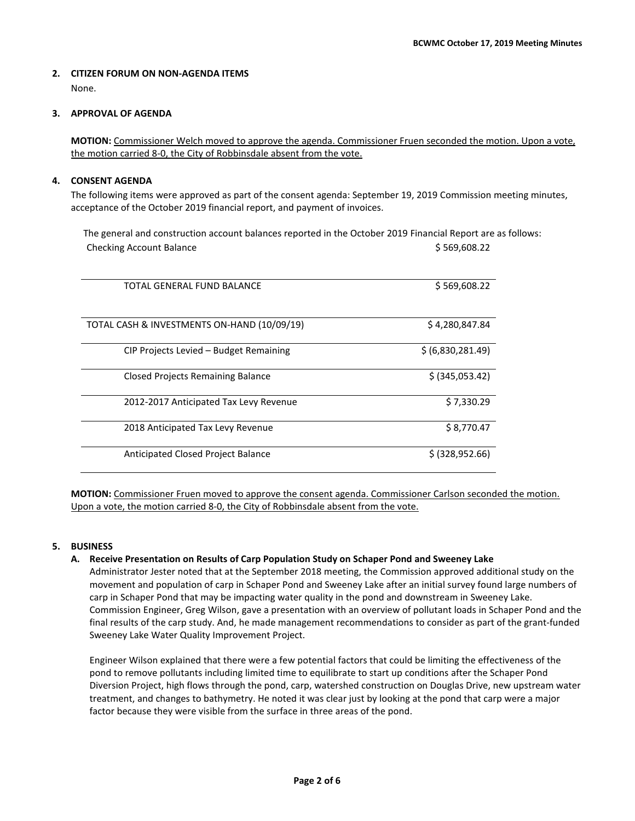#### **2. CITIZEN FORUM ON NON-AGENDA ITEMS**  None.

## **3. APPROVAL OF AGENDA**

**MOTION:** Commissioner Welch moved to approve the agenda. Commissioner Fruen seconded the motion. Upon a vote, the motion carried 8-0, the City of Robbinsdale absent from the vote.

## **4. CONSENT AGENDA**

The following items were approved as part of the consent agenda: September 19, 2019 Commission meeting minutes, acceptance of the October 2019 financial report, and payment of invoices.

The general and construction account balances reported in the October 2019 Financial Report are as follows: Checking Account Balance **\$ 569,608.22** (Separate and Separate and Separate and Separate and Separate and Separate and Separate and Separate and Separate and Separate and Separate and Separate and Separate and Separate and

| TOTAL GENERAL FUND BALANCE                  | \$569,608.22      |
|---------------------------------------------|-------------------|
| TOTAL CASH & INVESTMENTS ON-HAND (10/09/19) | \$4,280,847.84    |
| CIP Projects Levied – Budget Remaining      | \$ (6,830,281.49) |
| <b>Closed Projects Remaining Balance</b>    | \$ (345,053.42)   |
| 2012-2017 Anticipated Tax Levy Revenue      | \$7,330.29        |
| 2018 Anticipated Tax Levy Revenue           | \$8,770.47        |
| Anticipated Closed Project Balance          | \$ (328, 952.66)  |

**MOTION:** Commissioner Fruen moved to approve the consent agenda. Commissioner Carlson seconded the motion. Upon a vote, the motion carried 8-0, the City of Robbinsdale absent from the vote.

## **5. BUSINESS**

#### **A. Receive Presentation on Results of Carp Population Study on Schaper Pond and Sweeney Lake**

Administrator Jester noted that at the September 2018 meeting, the Commission approved additional study on the movement and population of carp in Schaper Pond and Sweeney Lake after an initial survey found large numbers of carp in Schaper Pond that may be impacting water quality in the pond and downstream in Sweeney Lake. Commission Engineer, Greg Wilson, gave a presentation with an overview of pollutant loads in Schaper Pond and the final results of the carp study. And, he made management recommendations to consider as part of the grant-funded Sweeney Lake Water Quality Improvement Project.

Engineer Wilson explained that there were a few potential factors that could be limiting the effectiveness of the pond to remove pollutants including limited time to equilibrate to start up conditions after the Schaper Pond Diversion Project, high flows through the pond, carp, watershed construction on Douglas Drive, new upstream water treatment, and changes to bathymetry. He noted it was clear just by looking at the pond that carp were a major factor because they were visible from the surface in three areas of the pond.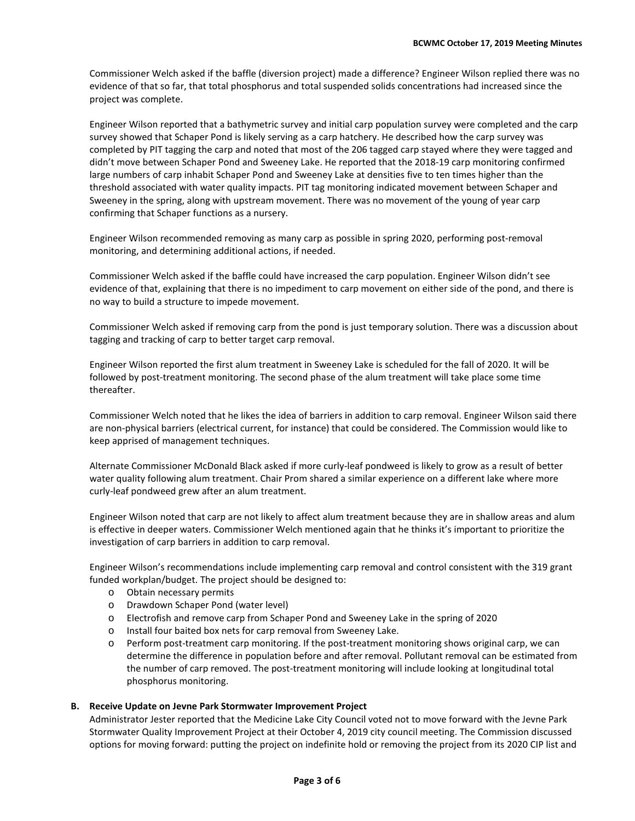Commissioner Welch asked if the baffle (diversion project) made a difference? Engineer Wilson replied there was no evidence of that so far, that total phosphorus and total suspended solids concentrations had increased since the project was complete.

Engineer Wilson reported that a bathymetric survey and initial carp population survey were completed and the carp survey showed that Schaper Pond is likely serving as a carp hatchery. He described how the carp survey was completed by PIT tagging the carp and noted that most of the 206 tagged carp stayed where they were tagged and didn't move between Schaper Pond and Sweeney Lake. He reported that the 2018-19 carp monitoring confirmed large numbers of carp inhabit Schaper Pond and Sweeney Lake at densities five to ten times higher than the threshold associated with water quality impacts. PIT tag monitoring indicated movement between Schaper and Sweeney in the spring, along with upstream movement. There was no movement of the young of year carp confirming that Schaper functions as a nursery.

Engineer Wilson recommended removing as many carp as possible in spring 2020, performing post-removal monitoring, and determining additional actions, if needed.

Commissioner Welch asked if the baffle could have increased the carp population. Engineer Wilson didn't see evidence of that, explaining that there is no impediment to carp movement on either side of the pond, and there is no way to build a structure to impede movement.

Commissioner Welch asked if removing carp from the pond is just temporary solution. There was a discussion about tagging and tracking of carp to better target carp removal.

Engineer Wilson reported the first alum treatment in Sweeney Lake is scheduled for the fall of 2020. It will be followed by post-treatment monitoring. The second phase of the alum treatment will take place some time thereafter.

Commissioner Welch noted that he likes the idea of barriers in addition to carp removal. Engineer Wilson said there are non-physical barriers (electrical current, for instance) that could be considered. The Commission would like to keep apprised of management techniques.

Alternate Commissioner McDonald Black asked if more curly-leaf pondweed is likely to grow as a result of better water quality following alum treatment. Chair Prom shared a similar experience on a different lake where more curly-leaf pondweed grew after an alum treatment.

Engineer Wilson noted that carp are not likely to affect alum treatment because they are in shallow areas and alum is effective in deeper waters. Commissioner Welch mentioned again that he thinks it's important to prioritize the investigation of carp barriers in addition to carp removal.

Engineer Wilson's recommendations include implementing carp removal and control consistent with the 319 grant funded workplan/budget. The project should be designed to:

- o Obtain necessary permits
- o Drawdown Schaper Pond (water level)
- o Electrofish and remove carp from Schaper Pond and Sweeney Lake in the spring of 2020
- o Install four baited box nets for carp removal from Sweeney Lake.
- o Perform post-treatment carp monitoring. If the post-treatment monitoring shows original carp, we can determine the difference in population before and after removal. Pollutant removal can be estimated from the number of carp removed. The post-treatment monitoring will include looking at longitudinal total phosphorus monitoring.

#### **B. Receive Update on Jevne Park Stormwater Improvement Project**

Administrator Jester reported that the Medicine Lake City Council voted not to move forward with the Jevne Park Stormwater Quality Improvement Project at their October 4, 2019 city council meeting. The Commission discussed options for moving forward: putting the project on indefinite hold or removing the project from its 2020 CIP list and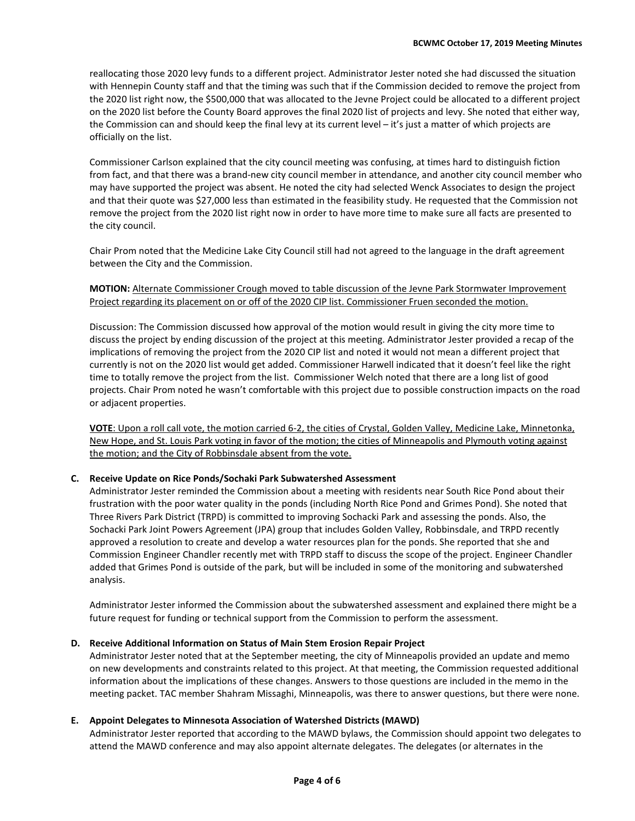reallocating those 2020 levy funds to a different project. Administrator Jester noted she had discussed the situation with Hennepin County staff and that the timing was such that if the Commission decided to remove the project from the 2020 list right now, the \$500,000 that was allocated to the Jevne Project could be allocated to a different project on the 2020 list before the County Board approves the final 2020 list of projects and levy. She noted that either way, the Commission can and should keep the final levy at its current level – it's just a matter of which projects are officially on the list.

Commissioner Carlson explained that the city council meeting was confusing, at times hard to distinguish fiction from fact, and that there was a brand-new city council member in attendance, and another city council member who may have supported the project was absent. He noted the city had selected Wenck Associates to design the project and that their quote was \$27,000 less than estimated in the feasibility study. He requested that the Commission not remove the project from the 2020 list right now in order to have more time to make sure all facts are presented to the city council.

Chair Prom noted that the Medicine Lake City Council still had not agreed to the language in the draft agreement between the City and the Commission.

## **MOTION:** Alternate Commissioner Crough moved to table discussion of the Jevne Park Stormwater Improvement Project regarding its placement on or off of the 2020 CIP list. Commissioner Fruen seconded the motion.

Discussion: The Commission discussed how approval of the motion would result in giving the city more time to discuss the project by ending discussion of the project at this meeting. Administrator Jester provided a recap of the implications of removing the project from the 2020 CIP list and noted it would not mean a different project that currently is not on the 2020 list would get added. Commissioner Harwell indicated that it doesn't feel like the right time to totally remove the project from the list. Commissioner Welch noted that there are a long list of good projects. Chair Prom noted he wasn't comfortable with this project due to possible construction impacts on the road or adjacent properties.

**VOTE**: Upon a roll call vote, the motion carried 6-2, the cities of Crystal, Golden Valley, Medicine Lake, Minnetonka, New Hope, and St. Louis Park voting in favor of the motion; the cities of Minneapolis and Plymouth voting against the motion; and the City of Robbinsdale absent from the vote.

#### **C. Receive Update on Rice Ponds/Sochaki Park Subwatershed Assessment**

Administrator Jester reminded the Commission about a meeting with residents near South Rice Pond about their frustration with the poor water quality in the ponds (including North Rice Pond and Grimes Pond). She noted that Three Rivers Park District (TRPD) is committed to improving Sochacki Park and assessing the ponds. Also, the Sochacki Park Joint Powers Agreement (JPA) group that includes Golden Valley, Robbinsdale, and TRPD recently approved a resolution to create and develop a water resources plan for the ponds. She reported that she and Commission Engineer Chandler recently met with TRPD staff to discuss the scope of the project. Engineer Chandler added that Grimes Pond is outside of the park, but will be included in some of the monitoring and subwatershed analysis.

Administrator Jester informed the Commission about the subwatershed assessment and explained there might be a future request for funding or technical support from the Commission to perform the assessment.

#### **D. Receive Additional Information on Status of Main Stem Erosion Repair Project**

Administrator Jester noted that at the September meeting, the city of Minneapolis provided an update and memo on new developments and constraints related to this project. At that meeting, the Commission requested additional information about the implications of these changes. Answers to those questions are included in the memo in the meeting packet. TAC member Shahram Missaghi, Minneapolis, was there to answer questions, but there were none.

#### **E. Appoint Delegates to Minnesota Association of Watershed Districts (MAWD)**

Administrator Jester reported that according to the MAWD bylaws, the Commission should appoint two delegates to attend the MAWD conference and may also appoint alternate delegates. The delegates (or alternates in the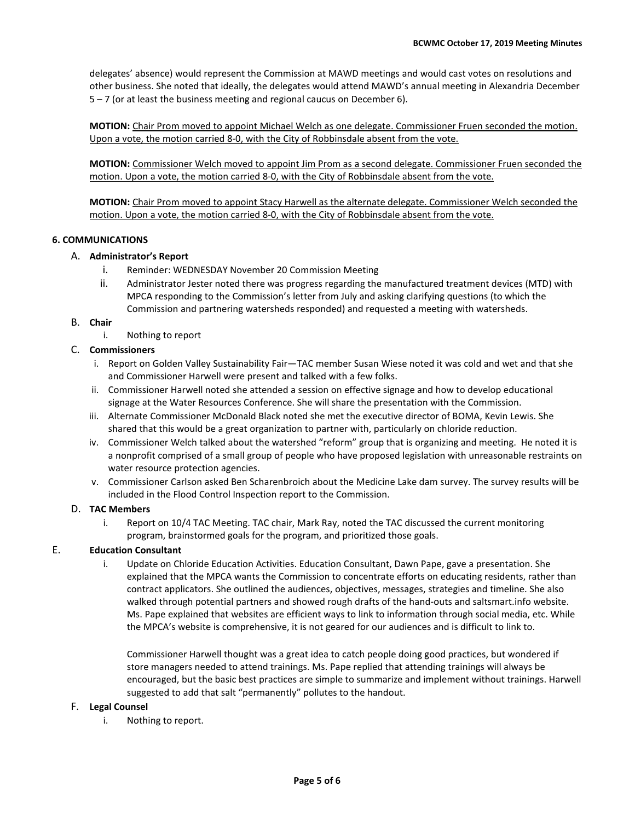delegates' absence) would represent the Commission at MAWD meetings and would cast votes on resolutions and other business. She noted that ideally, the delegates would attend MAWD's annual meeting in Alexandria December 5 – 7 (or at least the business meeting and regional caucus on December 6).

**MOTION:** Chair Prom moved to appoint Michael Welch as one delegate. Commissioner Fruen seconded the motion. Upon a vote, the motion carried 8-0, with the City of Robbinsdale absent from the vote.

**MOTION:** Commissioner Welch moved to appoint Jim Prom as a second delegate. Commissioner Fruen seconded the motion. Upon a vote, the motion carried 8-0, with the City of Robbinsdale absent from the vote.

**MOTION:** Chair Prom moved to appoint Stacy Harwell as the alternate delegate. Commissioner Welch seconded the motion. Upon a vote, the motion carried 8-0, with the City of Robbinsdale absent from the vote.

## **6. COMMUNICATIONS**

#### A. **Administrator's Report**

- i. Reminder: WEDNESDAY November 20 Commission Meeting
- ii. Administrator Jester noted there was progress regarding the manufactured treatment devices (MTD) with MPCA responding to the Commission's letter from July and asking clarifying questions (to which the Commission and partnering watersheds responded) and requested a meeting with watersheds.

## B. **Chair**

i. Nothing to report

## C. **Commissioners**

- i. Report on Golden Valley Sustainability Fair—TAC member Susan Wiese noted it was cold and wet and that she and Commissioner Harwell were present and talked with a few folks.
- ii. Commissioner Harwell noted she attended a session on effective signage and how to develop educational signage at the Water Resources Conference. She will share the presentation with the Commission.
- iii. Alternate Commissioner McDonald Black noted she met the executive director of BOMA, Kevin Lewis. She shared that this would be a great organization to partner with, particularly on chloride reduction.
- iv. Commissioner Welch talked about the watershed "reform" group that is organizing and meeting. He noted it is a nonprofit comprised of a small group of people who have proposed legislation with unreasonable restraints on water resource protection agencies.
- v. Commissioner Carlson asked Ben Scharenbroich about the Medicine Lake dam survey. The survey results will be included in the Flood Control Inspection report to the Commission.

#### D. **TAC Members**

i. Report on 10/4 TAC Meeting. TAC chair, Mark Ray, noted the TAC discussed the current monitoring program, brainstormed goals for the program, and prioritized those goals.

#### E. **Education Consultant**

i. Update on Chloride Education Activities. Education Consultant, Dawn Pape, gave a presentation. She explained that the MPCA wants the Commission to concentrate efforts on educating residents, rather than contract applicators. She outlined the audiences, objectives, messages, strategies and timeline. She also walked through potential partners and showed rough drafts of the hand-outs and saltsmart.info website. Ms. Pape explained that websites are efficient ways to link to information through social media, etc. While the MPCA's website is comprehensive, it is not geared for our audiences and is difficult to link to.

Commissioner Harwell thought was a great idea to catch people doing good practices, but wondered if store managers needed to attend trainings. Ms. Pape replied that attending trainings will always be encouraged, but the basic best practices are simple to summarize and implement without trainings. Harwell suggested to add that salt "permanently" pollutes to the handout.

#### F. **Legal Counsel**

i. Nothing to report.